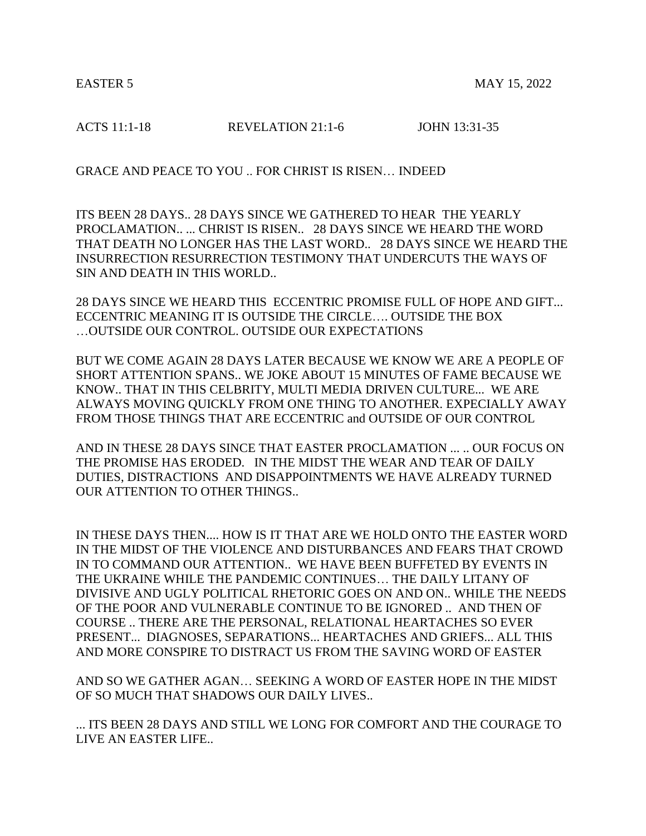ACTS 11:1-18 **REVELATION 21:1-6 JOHN 13:31-35** 

GRACE AND PEACE TO YOU .. FOR CHRIST IS RISEN… INDEED

ITS BEEN 28 DAYS.. 28 DAYS SINCE WE GATHERED TO HEAR THE YEARLY PROCLAMATION.. ... CHRIST IS RISEN.. 28 DAYS SINCE WE HEARD THE WORD THAT DEATH NO LONGER HAS THE LAST WORD.. 28 DAYS SINCE WE HEARD THE INSURRECTION RESURRECTION TESTIMONY THAT UNDERCUTS THE WAYS OF SIN AND DEATH IN THIS WORLD..

28 DAYS SINCE WE HEARD THIS ECCENTRIC PROMISE FULL OF HOPE AND GIFT... ECCENTRIC MEANING IT IS OUTSIDE THE CIRCLE…. OUTSIDE THE BOX …OUTSIDE OUR CONTROL. OUTSIDE OUR EXPECTATIONS

BUT WE COME AGAIN 28 DAYS LATER BECAUSE WE KNOW WE ARE A PEOPLE OF SHORT ATTENTION SPANS.. WE JOKE ABOUT 15 MINUTES OF FAME BECAUSE WE KNOW.. THAT IN THIS CELBRITY, MULTI MEDIA DRIVEN CULTURE... WE ARE ALWAYS MOVING QUICKLY FROM ONE THING TO ANOTHER. EXPECIALLY AWAY FROM THOSE THINGS THAT ARE ECCENTRIC and OUTSIDE OF OUR CONTROL

AND IN THESE 28 DAYS SINCE THAT EASTER PROCLAMATION ... .. OUR FOCUS ON THE PROMISE HAS ERODED. IN THE MIDST THE WEAR AND TEAR OF DAILY DUTIES, DISTRACTIONS AND DISAPPOINTMENTS WE HAVE ALREADY TURNED OUR ATTENTION TO OTHER THINGS..

IN THESE DAYS THEN.... HOW IS IT THAT ARE WE HOLD ONTO THE EASTER WORD IN THE MIDST OF THE VIOLENCE AND DISTURBANCES AND FEARS THAT CROWD IN TO COMMAND OUR ATTENTION.. WE HAVE BEEN BUFFETED BY EVENTS IN THE UKRAINE WHILE THE PANDEMIC CONTINUES… THE DAILY LITANY OF DIVISIVE AND UGLY POLITICAL RHETORIC GOES ON AND ON.. WHILE THE NEEDS OF THE POOR AND VULNERABLE CONTINUE TO BE IGNORED .. AND THEN OF COURSE .. THERE ARE THE PERSONAL, RELATIONAL HEARTACHES SO EVER PRESENT... DIAGNOSES, SEPARATIONS... HEARTACHES AND GRIEFS... ALL THIS AND MORE CONSPIRE TO DISTRACT US FROM THE SAVING WORD OF EASTER

AND SO WE GATHER AGAN… SEEKING A WORD OF EASTER HOPE IN THE MIDST OF SO MUCH THAT SHADOWS OUR DAILY LIVES..

... ITS BEEN 28 DAYS AND STILL WE LONG FOR COMFORT AND THE COURAGE TO LIVE AN EASTER LIFE..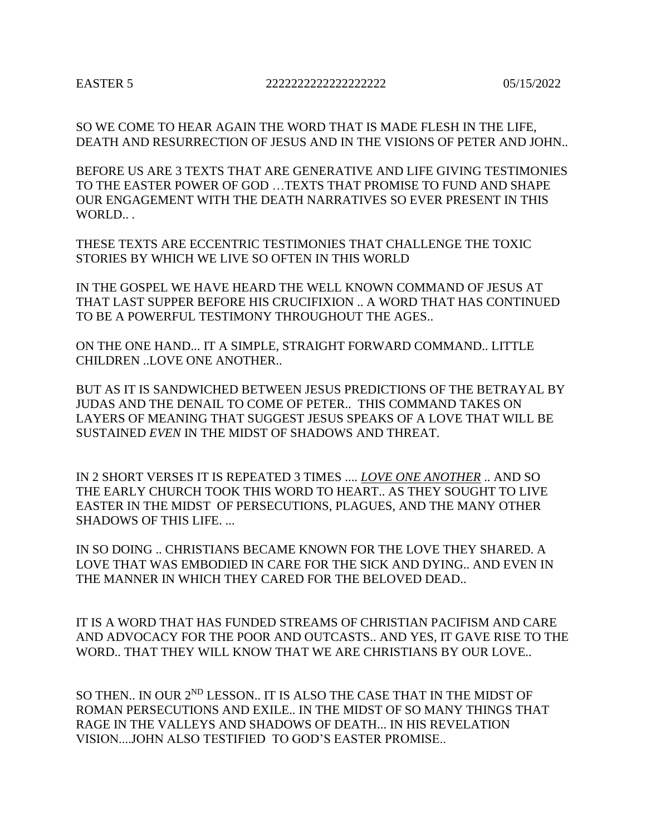SO WE COME TO HEAR AGAIN THE WORD THAT IS MADE FLESH IN THE LIFE, DEATH AND RESURRECTION OF JESUS AND IN THE VISIONS OF PETER AND JOHN..

BEFORE US ARE 3 TEXTS THAT ARE GENERATIVE AND LIFE GIVING TESTIMONIES TO THE EASTER POWER OF GOD …TEXTS THAT PROMISE TO FUND AND SHAPE OUR ENGAGEMENT WITH THE DEATH NARRATIVES SO EVER PRESENT IN THIS WORLD.. .

THESE TEXTS ARE ECCENTRIC TESTIMONIES THAT CHALLENGE THE TOXIC STORIES BY WHICH WE LIVE SO OFTEN IN THIS WORLD

IN THE GOSPEL WE HAVE HEARD THE WELL KNOWN COMMAND OF JESUS AT THAT LAST SUPPER BEFORE HIS CRUCIFIXION .. A WORD THAT HAS CONTINUED TO BE A POWERFUL TESTIMONY THROUGHOUT THE AGES..

ON THE ONE HAND... IT A SIMPLE, STRAIGHT FORWARD COMMAND.. LITTLE CHILDREN ..LOVE ONE ANOTHER..

BUT AS IT IS SANDWICHED BETWEEN JESUS PREDICTIONS OF THE BETRAYAL BY JUDAS AND THE DENAIL TO COME OF PETER.. THIS COMMAND TAKES ON LAYERS OF MEANING THAT SUGGEST JESUS SPEAKS OF A LOVE THAT WILL BE SUSTAINED *EVEN* IN THE MIDST OF SHADOWS AND THREAT.

IN 2 SHORT VERSES IT IS REPEATED 3 TIMES .... *LOVE ONE ANOTHER* .. AND SO THE EARLY CHURCH TOOK THIS WORD TO HEART.. AS THEY SOUGHT TO LIVE EASTER IN THE MIDST OF PERSECUTIONS, PLAGUES, AND THE MANY OTHER SHADOWS OF THIS LIFE. ...

IN SO DOING .. CHRISTIANS BECAME KNOWN FOR THE LOVE THEY SHARED. A LOVE THAT WAS EMBODIED IN CARE FOR THE SICK AND DYING.. AND EVEN IN THE MANNER IN WHICH THEY CARED FOR THE BELOVED DEAD..

IT IS A WORD THAT HAS FUNDED STREAMS OF CHRISTIAN PACIFISM AND CARE AND ADVOCACY FOR THE POOR AND OUTCASTS.. AND YES, IT GAVE RISE TO THE WORD.. THAT THEY WILL KNOW THAT WE ARE CHRISTIANS BY OUR LOVE..

SO THEN.. IN OUR 2<sup>ND</sup> LESSON.. IT IS ALSO THE CASE THAT IN THE MIDST OF ROMAN PERSECUTIONS AND EXILE.. IN THE MIDST OF SO MANY THINGS THAT RAGE IN THE VALLEYS AND SHADOWS OF DEATH... IN HIS REVELATION VISION....JOHN ALSO TESTIFIED TO GOD'S EASTER PROMISE..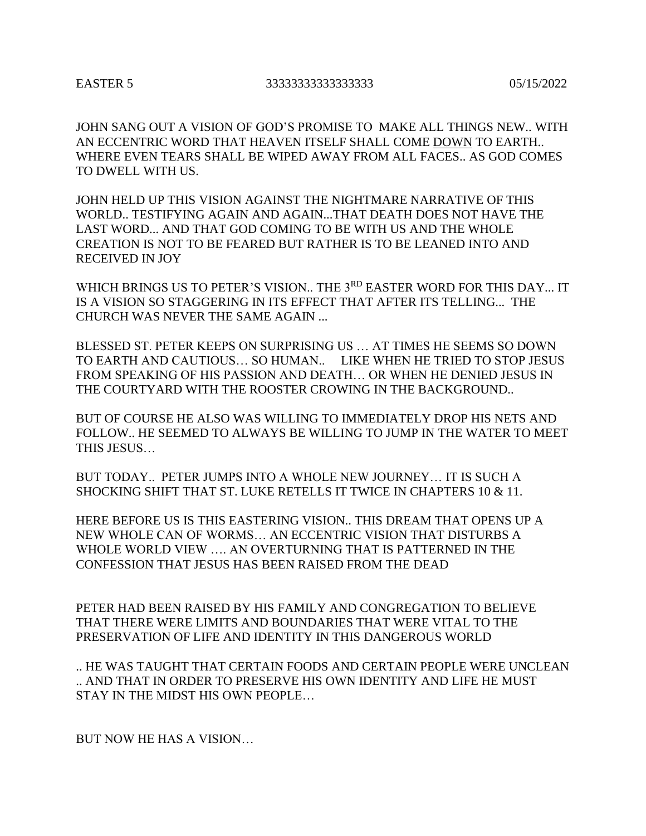## EASTER 5 33333333333333333 05/15/2022

JOHN SANG OUT A VISION OF GOD'S PROMISE TO MAKE ALL THINGS NEW.. WITH AN ECCENTRIC WORD THAT HEAVEN ITSELF SHALL COME DOWN TO EARTH.. WHERE EVEN TEARS SHALL BE WIPED AWAY FROM ALL FACES.. AS GOD COMES TO DWELL WITH US.

JOHN HELD UP THIS VISION AGAINST THE NIGHTMARE NARRATIVE OF THIS WORLD.. TESTIFYING AGAIN AND AGAIN...THAT DEATH DOES NOT HAVE THE LAST WORD... AND THAT GOD COMING TO BE WITH US AND THE WHOLE CREATION IS NOT TO BE FEARED BUT RATHER IS TO BE LEANED INTO AND RECEIVED IN JOY

WHICH BRINGS US TO PETER'S VISION.. THE 3<sup>RD</sup> EASTER WORD FOR THIS DAY... IT IS A VISION SO STAGGERING IN ITS EFFECT THAT AFTER ITS TELLING... THE CHURCH WAS NEVER THE SAME AGAIN ...

BLESSED ST. PETER KEEPS ON SURPRISING US … AT TIMES HE SEEMS SO DOWN TO EARTH AND CAUTIOUS… SO HUMAN.. LIKE WHEN HE TRIED TO STOP JESUS FROM SPEAKING OF HIS PASSION AND DEATH… OR WHEN HE DENIED JESUS IN THE COURTYARD WITH THE ROOSTER CROWING IN THE BACKGROUND..

BUT OF COURSE HE ALSO WAS WILLING TO IMMEDIATELY DROP HIS NETS AND FOLLOW.. HE SEEMED TO ALWAYS BE WILLING TO JUMP IN THE WATER TO MEET THIS JESUS…

BUT TODAY.. PETER JUMPS INTO A WHOLE NEW JOURNEY… IT IS SUCH A SHOCKING SHIFT THAT ST. LUKE RETELLS IT TWICE IN CHAPTERS 10 & 11.

HERE BEFORE US IS THIS EASTERING VISION.. THIS DREAM THAT OPENS UP A NEW WHOLE CAN OF WORMS… AN ECCENTRIC VISION THAT DISTURBS A WHOLE WORLD VIEW …. AN OVERTURNING THAT IS PATTERNED IN THE CONFESSION THAT JESUS HAS BEEN RAISED FROM THE DEAD

PETER HAD BEEN RAISED BY HIS FAMILY AND CONGREGATION TO BELIEVE THAT THERE WERE LIMITS AND BOUNDARIES THAT WERE VITAL TO THE PRESERVATION OF LIFE AND IDENTITY IN THIS DANGEROUS WORLD

.. HE WAS TAUGHT THAT CERTAIN FOODS AND CERTAIN PEOPLE WERE UNCLEAN .. AND THAT IN ORDER TO PRESERVE HIS OWN IDENTITY AND LIFE HE MUST STAY IN THE MIDST HIS OWN PEOPLE…

BUT NOW HE HAS A VISION…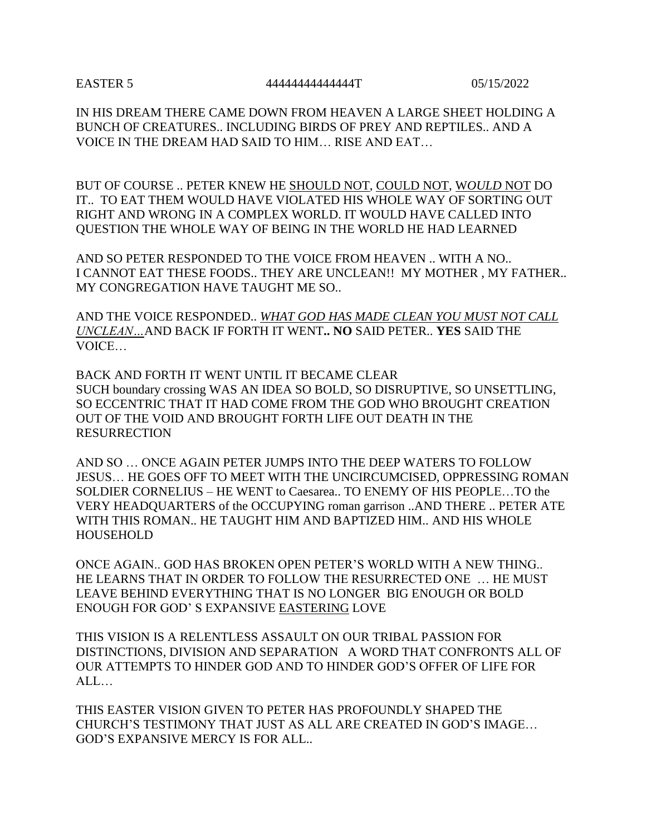EASTER 5 44444444444444T 05/15/2022

IN HIS DREAM THERE CAME DOWN FROM HEAVEN A LARGE SHEET HOLDING A BUNCH OF CREATURES.. INCLUDING BIRDS OF PREY AND REPTILES.. AND A VOICE IN THE DREAM HAD SAID TO HIM… RISE AND EAT…

BUT OF COURSE .. PETER KNEW HE SHOULD NOT, COULD NOT, W*OULD* NOT DO IT.. TO EAT THEM WOULD HAVE VIOLATED HIS WHOLE WAY OF SORTING OUT RIGHT AND WRONG IN A COMPLEX WORLD. IT WOULD HAVE CALLED INTO QUESTION THE WHOLE WAY OF BEING IN THE WORLD HE HAD LEARNED

AND SO PETER RESPONDED TO THE VOICE FROM HEAVEN .. WITH A NO.. I CANNOT EAT THESE FOODS.. THEY ARE UNCLEAN!! MY MOTHER , MY FATHER.. MY CONGREGATION HAVE TAUGHT ME SO..

AND THE VOICE RESPONDED.. *WHAT GOD HAS MADE CLEAN YOU MUST NOT CALL UNCLEAN…*AND BACK IF FORTH IT WENT**.. NO** SAID PETER.. **YES** SAID THE VOICE…

BACK AND FORTH IT WENT UNTIL IT BECAME CLEAR SUCH boundary crossing WAS AN IDEA SO BOLD, SO DISRUPTIVE, SO UNSETTLING, SO ECCENTRIC THAT IT HAD COME FROM THE GOD WHO BROUGHT CREATION OUT OF THE VOID AND BROUGHT FORTH LIFE OUT DEATH IN THE RESURRECTION

AND SO … ONCE AGAIN PETER JUMPS INTO THE DEEP WATERS TO FOLLOW JESUS… HE GOES OFF TO MEET WITH THE UNCIRCUMCISED, OPPRESSING ROMAN SOLDIER CORNELIUS – HE WENT to Caesarea.. TO ENEMY OF HIS PEOPLE…TO the VERY HEADQUARTERS of the OCCUPYING roman garrison ..AND THERE .. PETER ATE WITH THIS ROMAN.. HE TAUGHT HIM AND BAPTIZED HIM.. AND HIS WHOLE **HOUSEHOLD** 

ONCE AGAIN.. GOD HAS BROKEN OPEN PETER'S WORLD WITH A NEW THING.. HE LEARNS THAT IN ORDER TO FOLLOW THE RESURRECTED ONE … HE MUST LEAVE BEHIND EVERYTHING THAT IS NO LONGER BIG ENOUGH OR BOLD ENOUGH FOR GOD' S EXPANSIVE EASTERING LOVE

THIS VISION IS A RELENTLESS ASSAULT ON OUR TRIBAL PASSION FOR DISTINCTIONS, DIVISION AND SEPARATION A WORD THAT CONFRONTS ALL OF OUR ATTEMPTS TO HINDER GOD AND TO HINDER GOD'S OFFER OF LIFE FOR  $AI$ 

THIS EASTER VISION GIVEN TO PETER HAS PROFOUNDLY SHAPED THE CHURCH'S TESTIMONY THAT JUST AS ALL ARE CREATED IN GOD'S IMAGE… GOD'S EXPANSIVE MERCY IS FOR ALL..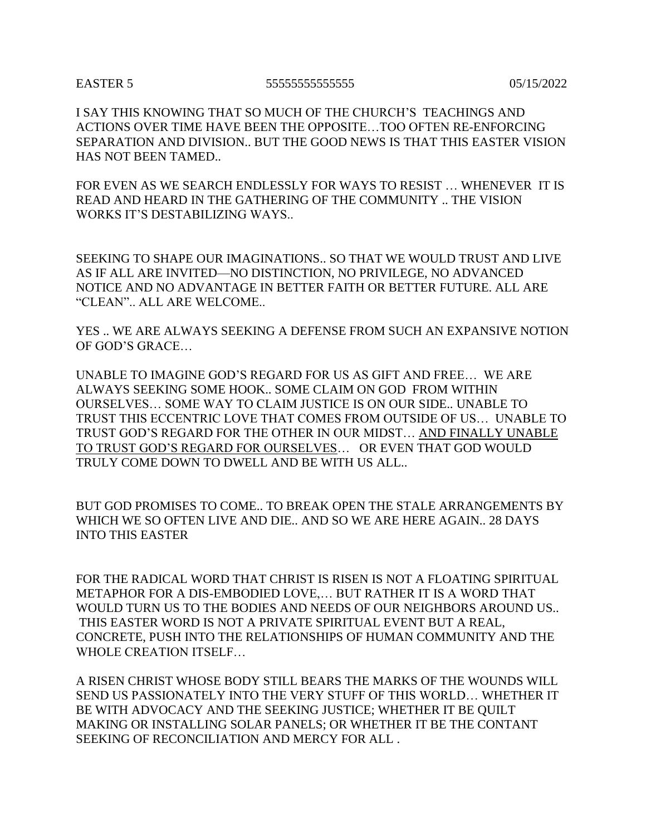## EASTER 5 55555555555555 05/15/2022

I SAY THIS KNOWING THAT SO MUCH OF THE CHURCH'S TEACHINGS AND ACTIONS OVER TIME HAVE BEEN THE OPPOSITE…TOO OFTEN RE-ENFORCING SEPARATION AND DIVISION.. BUT THE GOOD NEWS IS THAT THIS EASTER VISION HAS NOT BEEN TAMED..

FOR EVEN AS WE SEARCH ENDLESSLY FOR WAYS TO RESIST … WHENEVER IT IS READ AND HEARD IN THE GATHERING OF THE COMMUNITY .. THE VISION WORKS IT'S DESTABILIZING WAYS..

SEEKING TO SHAPE OUR IMAGINATIONS.. SO THAT WE WOULD TRUST AND LIVE AS IF ALL ARE INVITED—NO DISTINCTION, NO PRIVILEGE, NO ADVANCED NOTICE AND NO ADVANTAGE IN BETTER FAITH OR BETTER FUTURE. ALL ARE "CLEAN".. ALL ARE WELCOME..

YES .. WE ARE ALWAYS SEEKING A DEFENSE FROM SUCH AN EXPANSIVE NOTION OF GOD'S GRACE…

UNABLE TO IMAGINE GOD'S REGARD FOR US AS GIFT AND FREE… WE ARE ALWAYS SEEKING SOME HOOK.. SOME CLAIM ON GOD FROM WITHIN OURSELVES… SOME WAY TO CLAIM JUSTICE IS ON OUR SIDE.. UNABLE TO TRUST THIS ECCENTRIC LOVE THAT COMES FROM OUTSIDE OF US… UNABLE TO TRUST GOD'S REGARD FOR THE OTHER IN OUR MIDST… AND FINALLY UNABLE TO TRUST GOD'S REGARD FOR OURSELVES… OR EVEN THAT GOD WOULD TRULY COME DOWN TO DWELL AND BE WITH US ALL..

BUT GOD PROMISES TO COME.. TO BREAK OPEN THE STALE ARRANGEMENTS BY WHICH WE SO OFTEN LIVE AND DIE.. AND SO WE ARE HERE AGAIN.. 28 DAYS INTO THIS EASTER

FOR THE RADICAL WORD THAT CHRIST IS RISEN IS NOT A FLOATING SPIRITUAL METAPHOR FOR A DIS-EMBODIED LOVE,… BUT RATHER IT IS A WORD THAT WOULD TURN US TO THE BODIES AND NEEDS OF OUR NEIGHBORS AROUND US.. THIS EASTER WORD IS NOT A PRIVATE SPIRITUAL EVENT BUT A REAL, CONCRETE, PUSH INTO THE RELATIONSHIPS OF HUMAN COMMUNITY AND THE WHOLE CREATION ITSELF…

A RISEN CHRIST WHOSE BODY STILL BEARS THE MARKS OF THE WOUNDS WILL SEND US PASSIONATELY INTO THE VERY STUFF OF THIS WORLD… WHETHER IT BE WITH ADVOCACY AND THE SEEKING JUSTICE; WHETHER IT BE QUILT MAKING OR INSTALLING SOLAR PANELS; OR WHETHER IT BE THE CONTANT SEEKING OF RECONCILIATION AND MERCY FOR ALL .